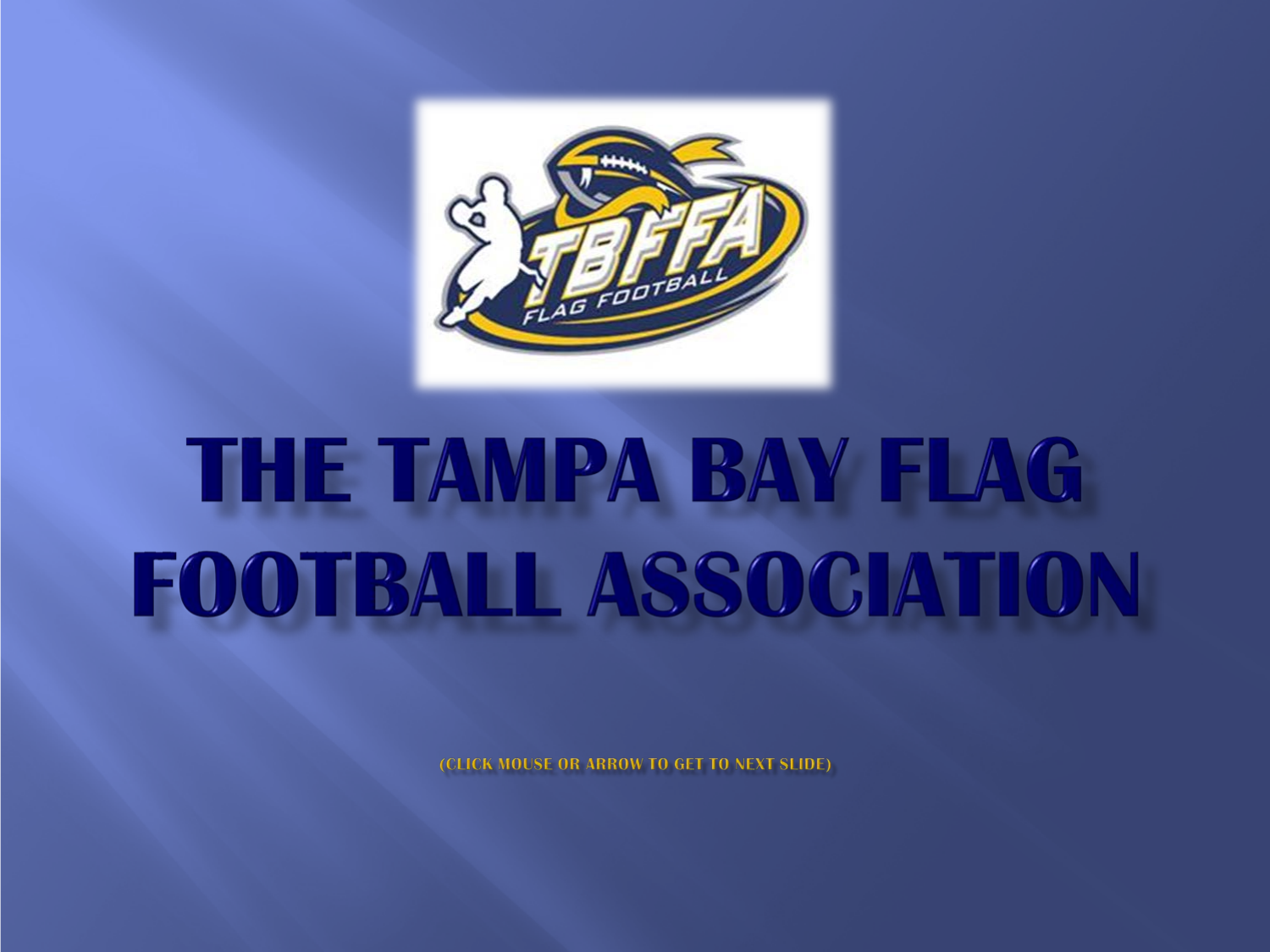

# THE TAMPA BAY FLAG **FOOTBALL ASSOCIATION**

**(CLICK MOUSE OR ARROW TO GET TO NEXT SLIDE)**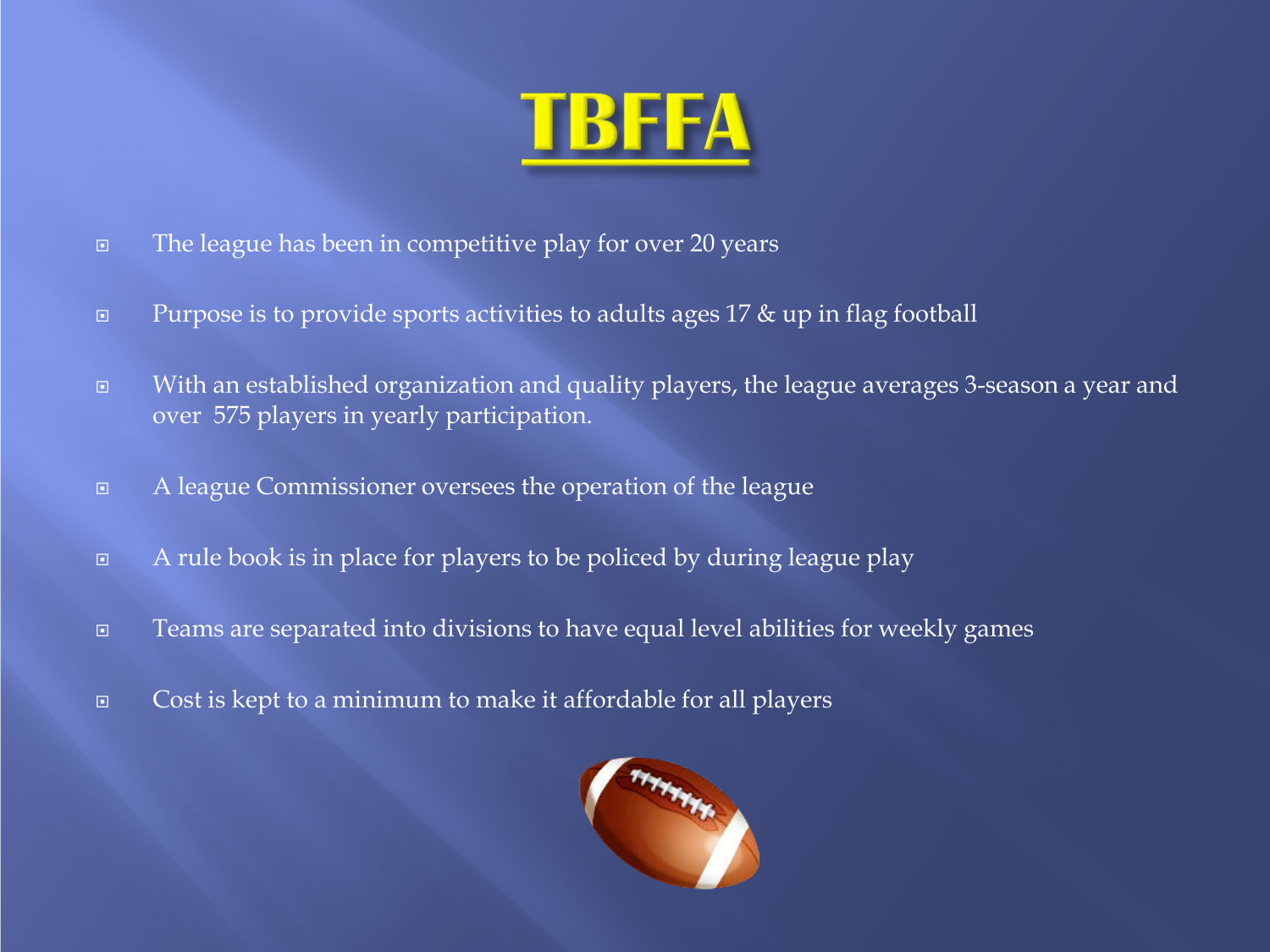

- The league has been in competitive play for over 20 years
- **Purpose is to provide sports activities to adults ages 17 & up in flag football**
- With an established organization and quality players, the league averages 3-season a year and over 575 players in yearly participation.
- A league Commissioner oversees the operation of the league
- $\Box$  A rule book is in place for players to be policed by during league play
- Teams are separated into divisions to have equal level abilities for weekly games
- Cost is kept to a minimum to make it affordable for all players

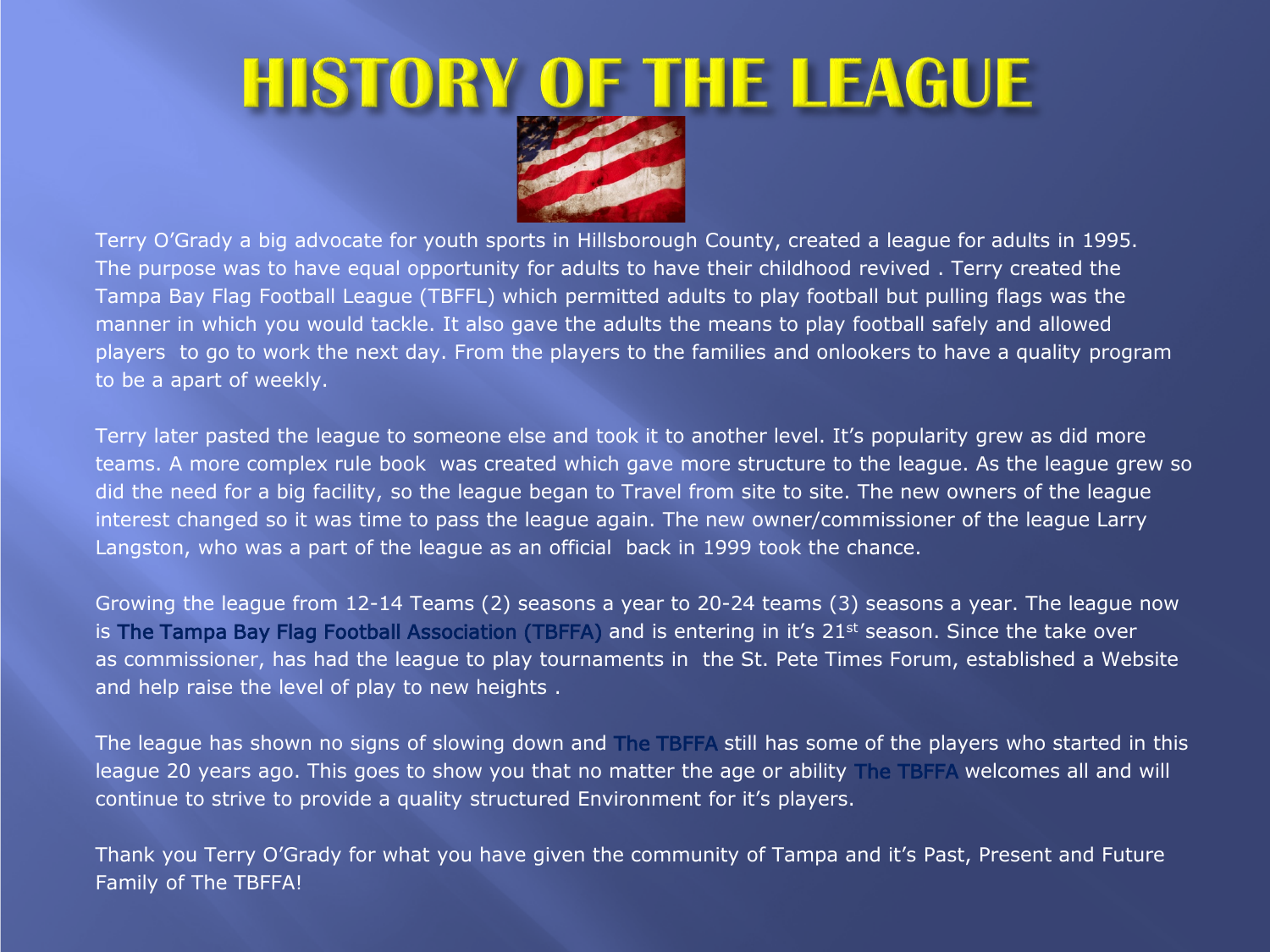### **HISTORY OF THE LEAGUE**



Terry O'Grady a big advocate for youth sports in Hillsborough County, created a league for adults in 1995. The purpose was to have equal opportunity for adults to have their childhood revived . Terry created the Tampa Bay Flag Football League (TBFFL) which permitted adults to play football but pulling flags was the manner in which you would tackle. It also gave the adults the means to play football safely and allowed players to go to work the next day. From the players to the families and onlookers to have a quality program to be a apart of weekly.

Terry later pasted the league to someone else and took it to another level. It's popularity grew as did more teams. A more complex rule book was created which gave more structure to the league. As the league grew so did the need for a big facility, so the league began to Travel from site to site. The new owners of the league interest changed so it was time to pass the league again. The new owner/commissioner of the league Larry Langston, who was a part of the league as an official back in 1999 took the chance.

Growing the league from 12-14 Teams (2) seasons a year to 20-24 teams (3) seasons a year. The league now is The Tampa Bay Flag Football Association (TBFFA) and is entering in it's  $21<sup>st</sup>$  season. Since the take over as commissioner, has had the league to play tournaments in the St. Pete Times Forum, established a Website and help raise the level of play to new heights .

The league has shown no signs of slowing down and The TBFFA still has some of the players who started in this league 20 years ago. This goes to show you that no matter the age or ability The TBFFA welcomes all and will continue to strive to provide a quality structured Environment for it's players.

Thank you Terry O'Grady for what you have given the community of Tampa and it's Past, Present and Future Family of The TBFFA!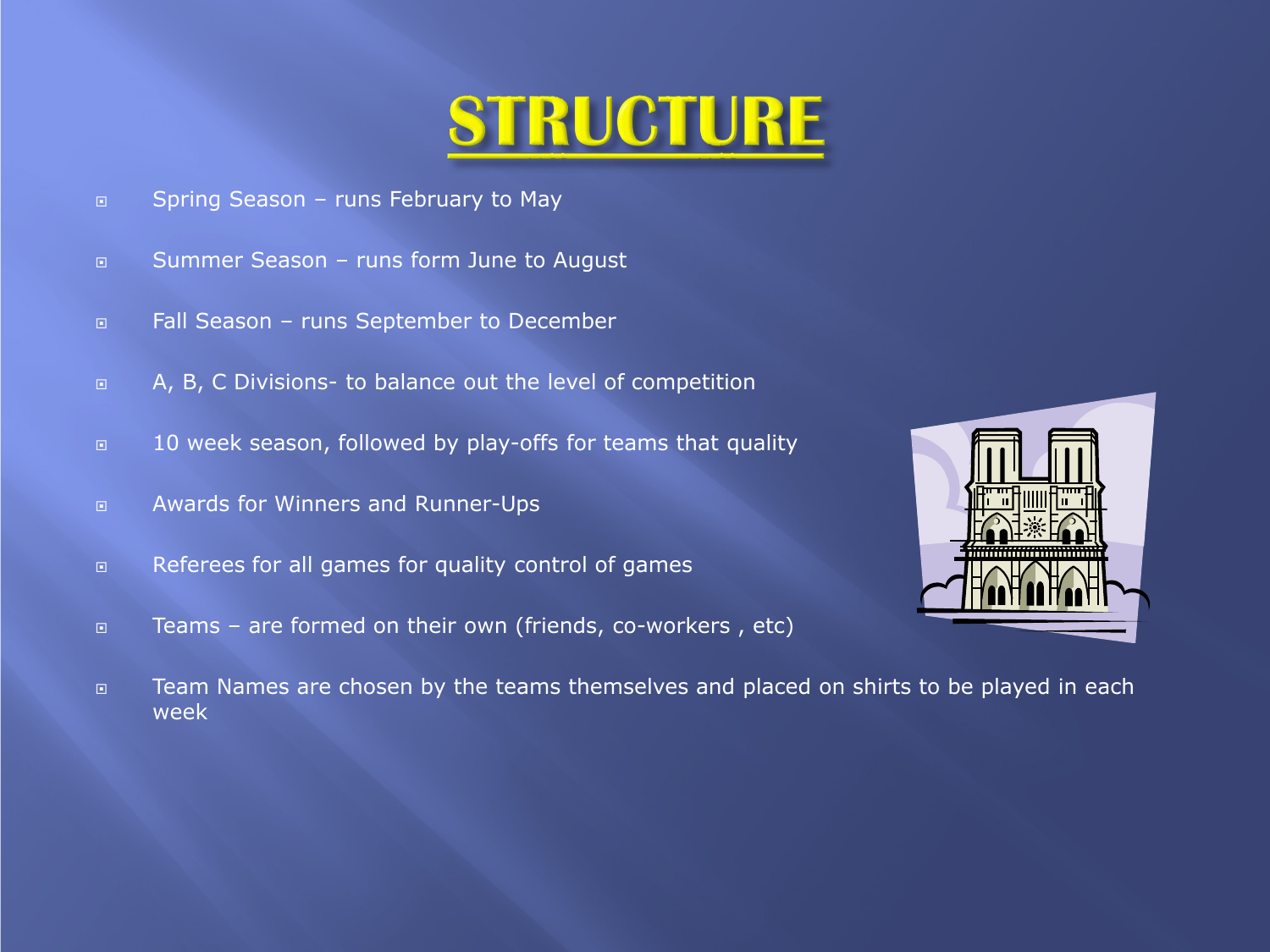### **STRUCTURE**

- □ Spring Season runs February to May
- □ Summer Season runs form June to August
- □ Fall Season runs September to December
- □ A, B, C Divisions- to balance out the level of competition
- 10 week season, followed by play-offs for teams that quality
- Awards for Winners and Runner-Ups
- **EXECUTE:** Referees for all games for quality control of games
- □ Teams are formed on their own (friends, co-workers, etc)



□ Team Names are chosen by the teams themselves and placed on shirts to be played in each week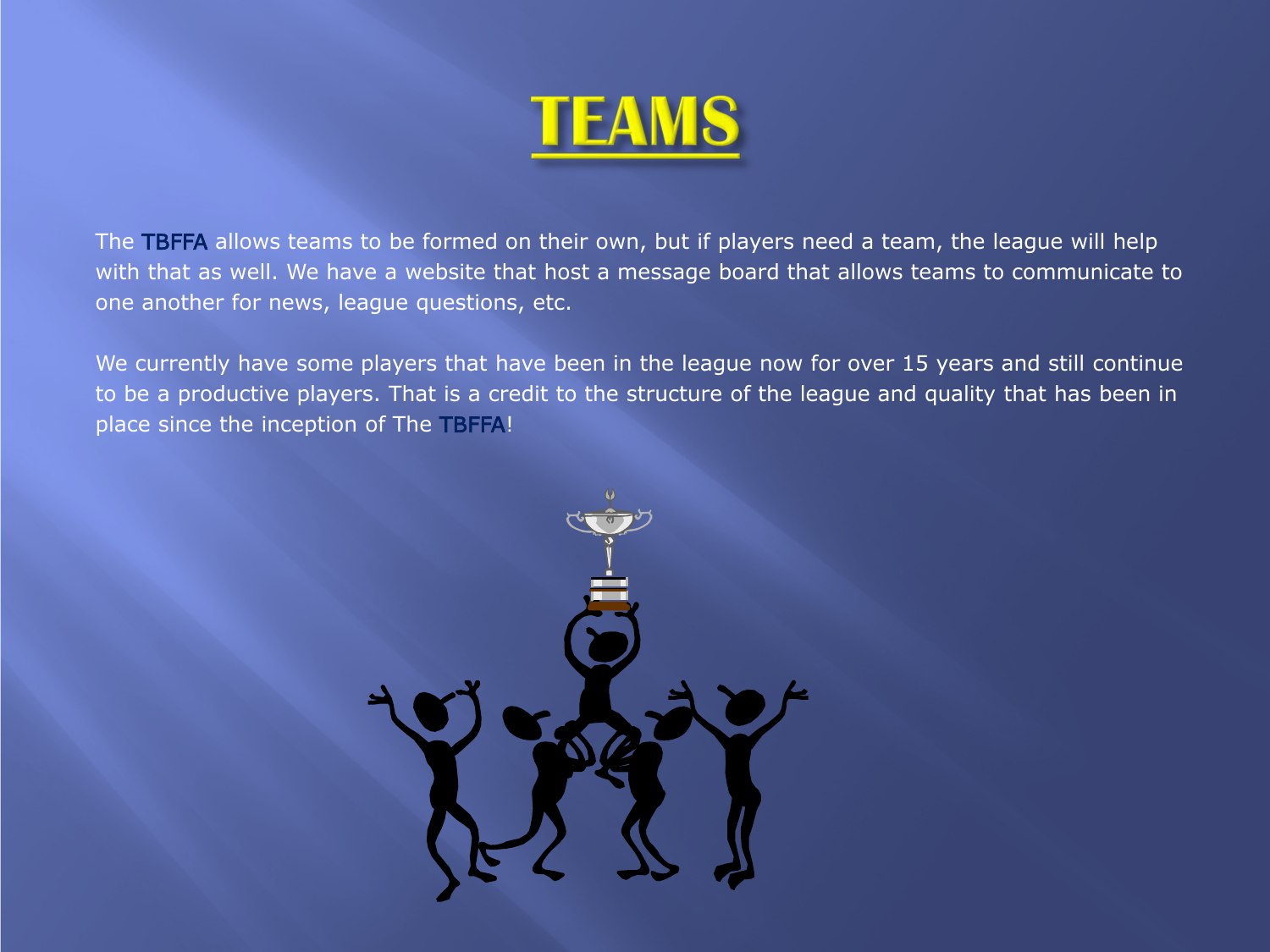

The TBFFA allows teams to be formed on their own, but if players need a team, the league will help with that as well. We have a website that host a message board that allows teams to communicate to one another for news, league questions, etc.

We currently have some players that have been in the league now for over 15 years and still continue to be a productive players. That is a credit to the structure of the league and quality that has been in place since the inception of The TBFFA!

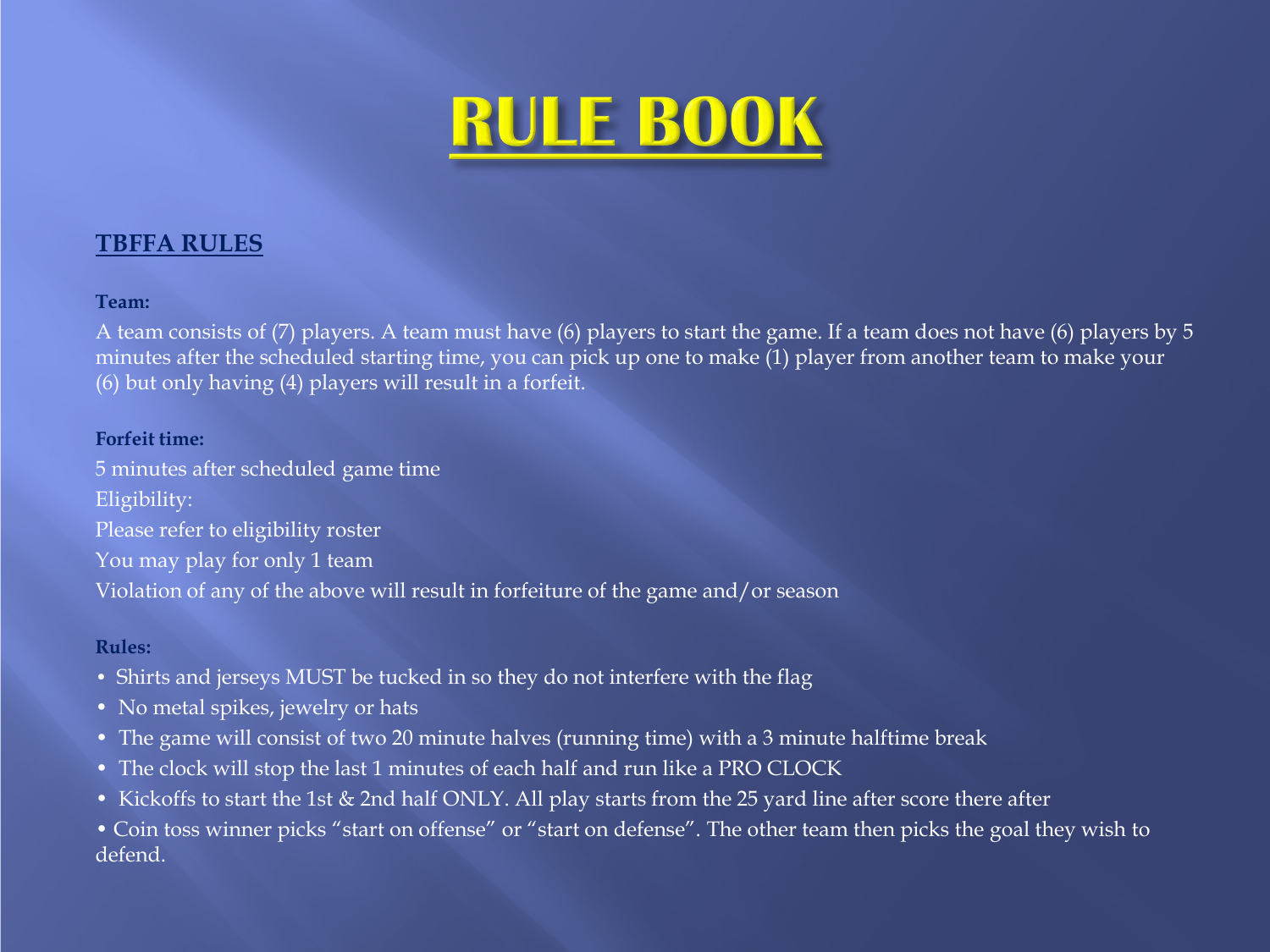

### **TBFFA RULES**

#### **Team:**

A team consists of (7) players. A team must have (6) players to start the game. If a team does not have (6) players by 5 minutes after the scheduled starting time, you can pick up one to make (1) player from another team to make your (6) but only having (4) players will result in a forfeit.

#### **Forfeit time:**

5 minutes after scheduled game time Eligibility: Please refer to eligibility roster You may play for only 1 team Violation of any of the above will result in forfeiture of the game and/or season

### **Rules:**

- Shirts and jerseys MUST be tucked in so they do not interfere with the flag
- No metal spikes, jewelry or hats
- The game will consist of two 20 minute halves (running time) with a 3 minute halftime break
- The clock will stop the last 1 minutes of each half and run like a PRO CLOCK
- Kickoffs to start the 1st & 2nd half ONLY. All play starts from the 25 yard line after score there after
- Coin toss winner picks "start on offense" or "start on defense". The other team then picks the goal they wish to defend.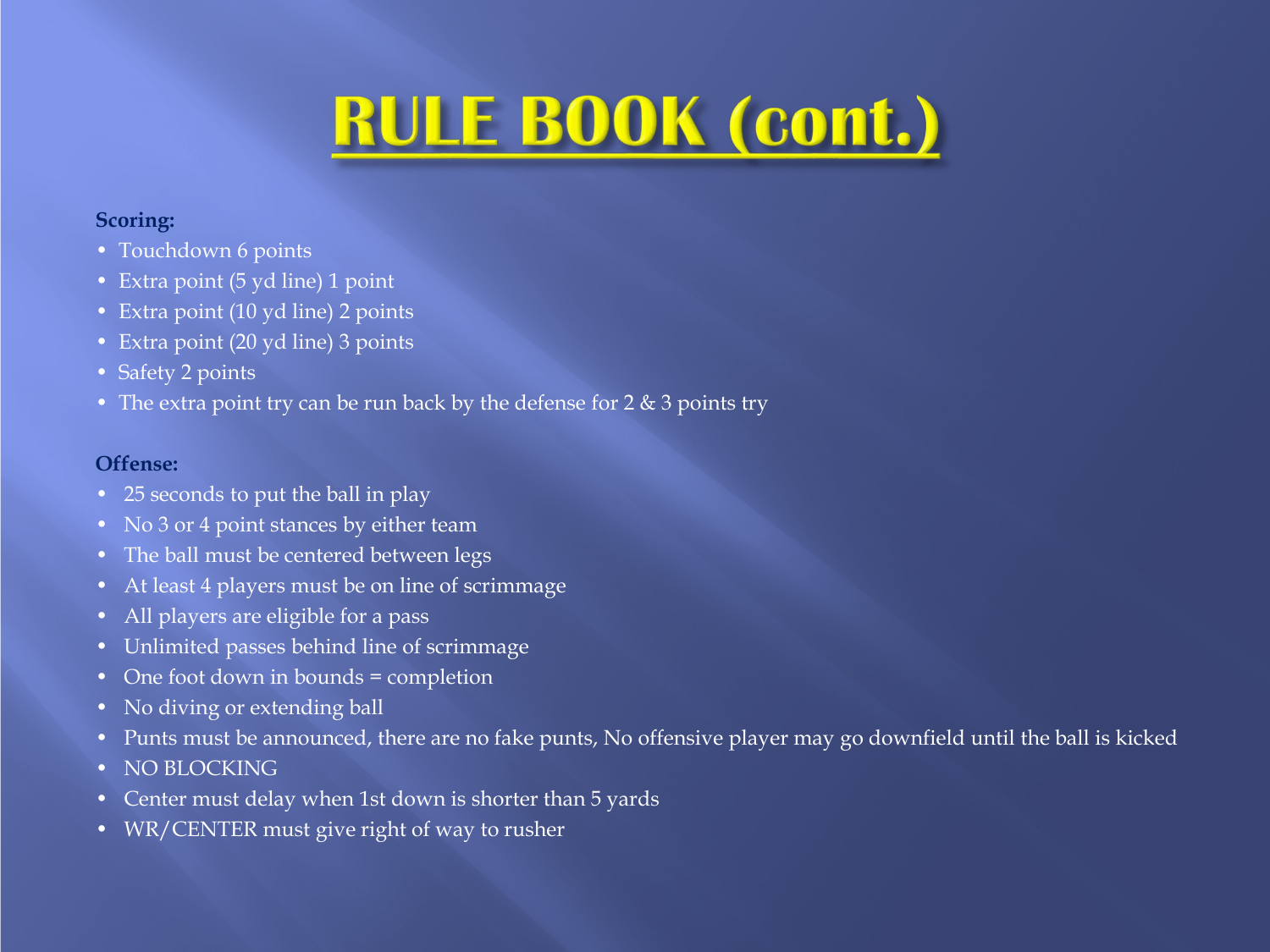## **RULE BOOK (cont.)**

### **Scoring:**

- Touchdown 6 points
- Extra point (5 yd line) 1 point
- Extra point (10 yd line) 2 points
- Extra point (20 yd line) 3 points
- Safety 2 points
- The extra point try can be run back by the defense for  $2 \& 3$  points try

### **Offense:**

- 25 seconds to put the ball in play
- No 3 or 4 point stances by either team
- The ball must be centered between legs
- At least 4 players must be on line of scrimmage
- All players are eligible for a pass
- Unlimited passes behind line of scrimmage
- One foot down in bounds = completion
- No diving or extending ball
- Punts must be announced, there are no fake punts, No offensive player may go downfield until the ball is kicked
- NO BLOCKING
- Center must delay when 1st down is shorter than 5 yards
- WR/CENTER must give right of way to rusher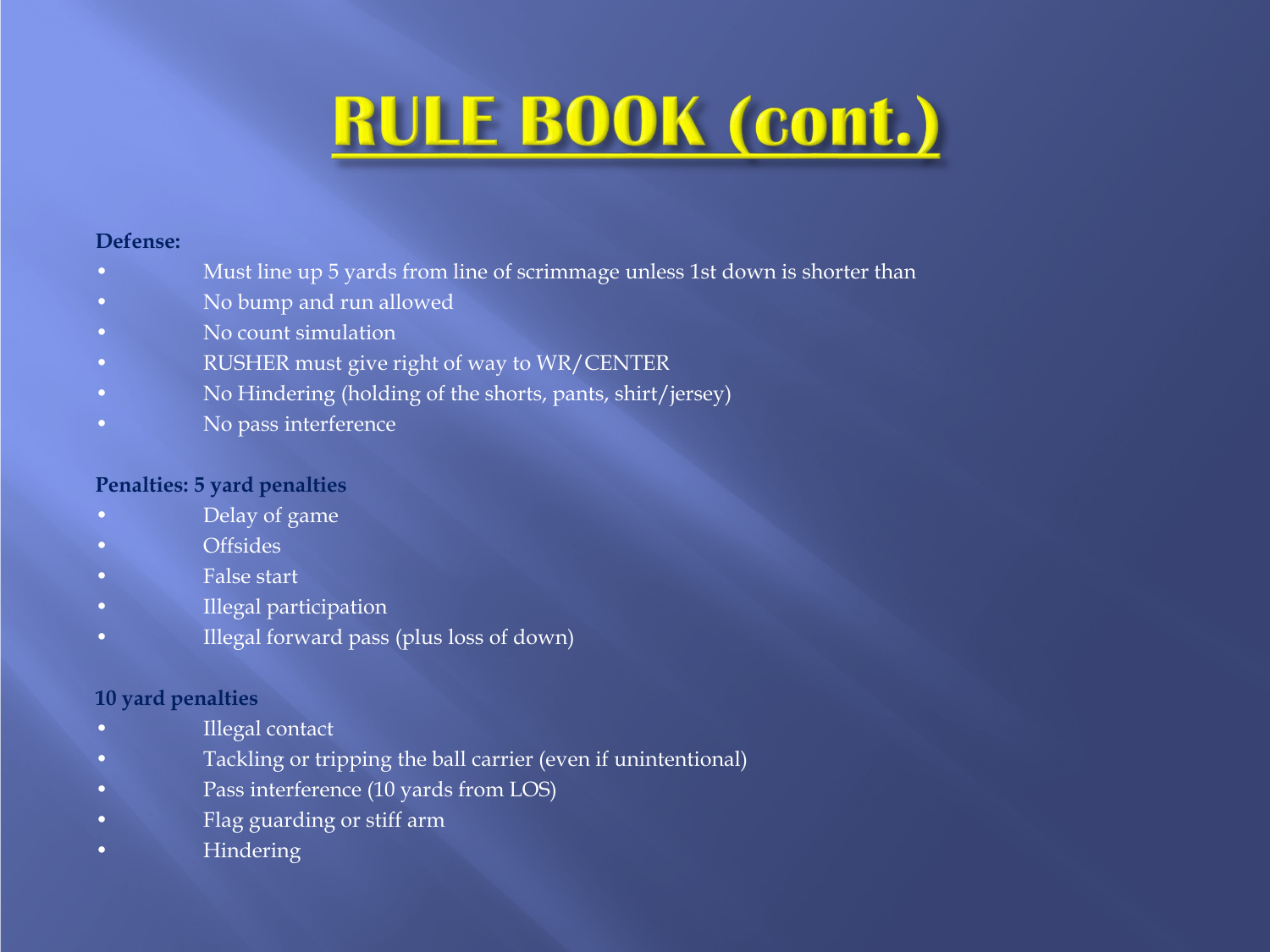# **RULE BOOK (cont.)**

### **Defense:**

- Must line up 5 yards from line of scrimmage unless 1st down is shorter than
- No bump and run allowed
- No count simulation
- RUSHER must give right of way to WR/CENTER
- No Hindering (holding of the shorts, pants, shirt/jersey)
- No pass interference

### **Penalties: 5 yard penalties**

- Delay of game
- Offsides
- False start
- Illegal participation
- Illegal forward pass (plus loss of down)

### **10 yard penalties**

- Illegal contact
- Tackling or tripping the ball carrier (even if unintentional)
- Pass interference (10 yards from LOS)
- Flag guarding or stiff arm
- Hindering